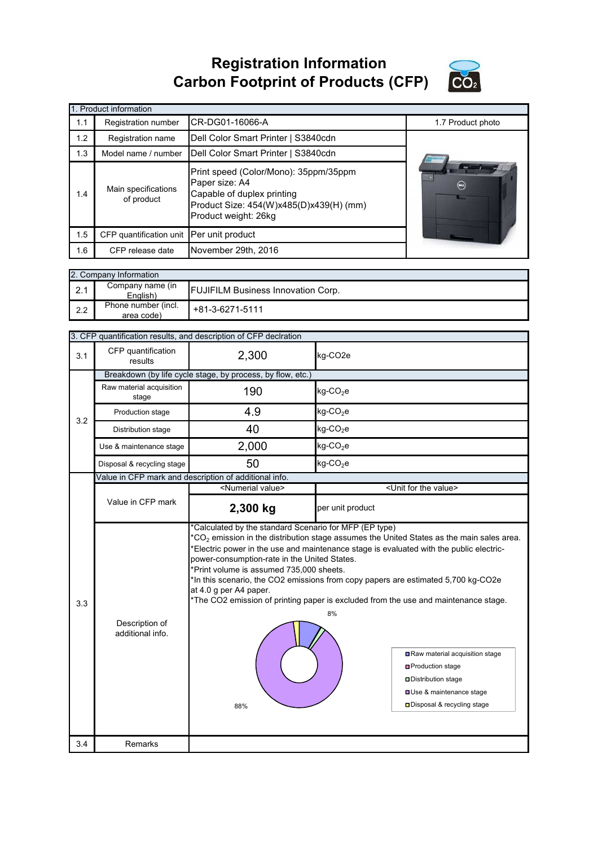**Registration Information Carbon Footprint of Products (CFP)**



|     | 1. Product information            |                                                                                                                                                          |                   |  |  |
|-----|-----------------------------------|----------------------------------------------------------------------------------------------------------------------------------------------------------|-------------------|--|--|
| 1.1 | <b>Registration number</b>        | CR-DG01-16066-A                                                                                                                                          | 1.7 Product photo |  |  |
| 1.2 | Registration name                 | Dell Color Smart Printer   S3840cdn                                                                                                                      |                   |  |  |
| 1.3 | Model name / number               | Dell Color Smart Printer   S3840cdn                                                                                                                      |                   |  |  |
| 1.4 | Main specifications<br>of product | Print speed (Color/Mono): 35ppm/35ppm<br>Paper size: A4<br>Capable of duplex printing<br>Product Size: 454(W)x485(D)x439(H) (mm)<br>Product weight: 26kg | $(\lnot)$         |  |  |
| 1.5 | CFP quantification unit           | Per unit product                                                                                                                                         |                   |  |  |
| 1.6 | CFP release date                  | November 29th, 2016                                                                                                                                      |                   |  |  |

|     | 2. Company Information            |                                           |  |  |  |
|-----|-----------------------------------|-------------------------------------------|--|--|--|
| 2.1 | Company name (in<br>English)      | <b>FUJIFILM Business Innovation Corp.</b> |  |  |  |
| 2.2 | Phone number (incl.<br>area code) | +81-3-6271-5111                           |  |  |  |

|     | 3. CFP quantification results, and description of CFP declration |                                                                                                                                                                                                                                                                                                                                                                                                                                                                                                                                                                                                                                                                                                                             |                                      |  |  |
|-----|------------------------------------------------------------------|-----------------------------------------------------------------------------------------------------------------------------------------------------------------------------------------------------------------------------------------------------------------------------------------------------------------------------------------------------------------------------------------------------------------------------------------------------------------------------------------------------------------------------------------------------------------------------------------------------------------------------------------------------------------------------------------------------------------------------|--------------------------------------|--|--|
| 3.1 | CFP quantification<br>results                                    | 2,300                                                                                                                                                                                                                                                                                                                                                                                                                                                                                                                                                                                                                                                                                                                       | kg-CO <sub>2e</sub>                  |  |  |
|     | Breakdown (by life cycle stage, by process, by flow, etc.)       |                                                                                                                                                                                                                                                                                                                                                                                                                                                                                                                                                                                                                                                                                                                             |                                      |  |  |
|     | Raw material acquisition<br>stage                                | 190                                                                                                                                                                                                                                                                                                                                                                                                                                                                                                                                                                                                                                                                                                                         | $kg$ -CO <sub>2</sub> e              |  |  |
| 3.2 | Production stage                                                 | 4.9                                                                                                                                                                                                                                                                                                                                                                                                                                                                                                                                                                                                                                                                                                                         | $kg$ -CO <sub>2</sub> e              |  |  |
|     | Distribution stage                                               | 40                                                                                                                                                                                                                                                                                                                                                                                                                                                                                                                                                                                                                                                                                                                          | $kg$ -CO <sub>2</sub> e              |  |  |
|     | Use & maintenance stage                                          | 2,000                                                                                                                                                                                                                                                                                                                                                                                                                                                                                                                                                                                                                                                                                                                       | $kg$ -CO <sub>2</sub> e              |  |  |
|     | Disposal & recycling stage                                       | 50                                                                                                                                                                                                                                                                                                                                                                                                                                                                                                                                                                                                                                                                                                                          | $kg$ -CO <sub>2</sub> e              |  |  |
|     |                                                                  | Value in CFP mark and description of additional info.                                                                                                                                                                                                                                                                                                                                                                                                                                                                                                                                                                                                                                                                       |                                      |  |  |
|     |                                                                  | <numerial value=""></numerial>                                                                                                                                                                                                                                                                                                                                                                                                                                                                                                                                                                                                                                                                                              | <unit for="" the="" value=""></unit> |  |  |
|     | Value in CFP mark                                                | 2,300 kg                                                                                                                                                                                                                                                                                                                                                                                                                                                                                                                                                                                                                                                                                                                    | per unit product                     |  |  |
| 3.3 | Description of<br>additional info.                               | *Calculated by the standard Scenario for MFP (EP type)<br>${}^{\star}CO_{2}$ emission in the distribution stage assumes the United States as the main sales area.<br>'Electric power in the use and maintenance stage is evaluated with the public electric-<br>power-consumption-rate in the United States.<br>*Print volume is assumed 735,000 sheets.<br>*In this scenario, the CO2 emissions from copy papers are estimated 5,700 kg-CO2e<br>at 4.0 g per A4 paper.<br>*The CO2 emission of printing paper is excluded from the use and maintenance stage.<br>8%<br>Raw material acquisition stage<br><b>□</b> Production stage<br>Distribution stage<br>Use & maintenance stage<br>□ Disposal & recycling stage<br>88% |                                      |  |  |
| 3.4 | Remarks                                                          |                                                                                                                                                                                                                                                                                                                                                                                                                                                                                                                                                                                                                                                                                                                             |                                      |  |  |